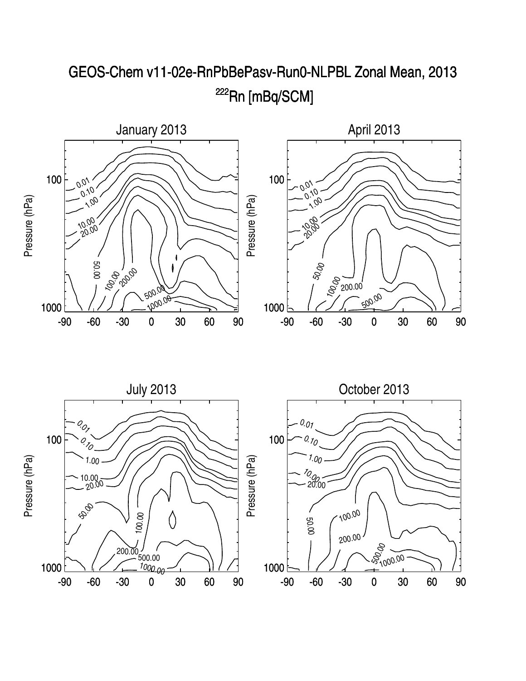

## GEOS-Chem v11-02e-RnPbBePasv-Run0-NLPBL Zonal Mean, 2013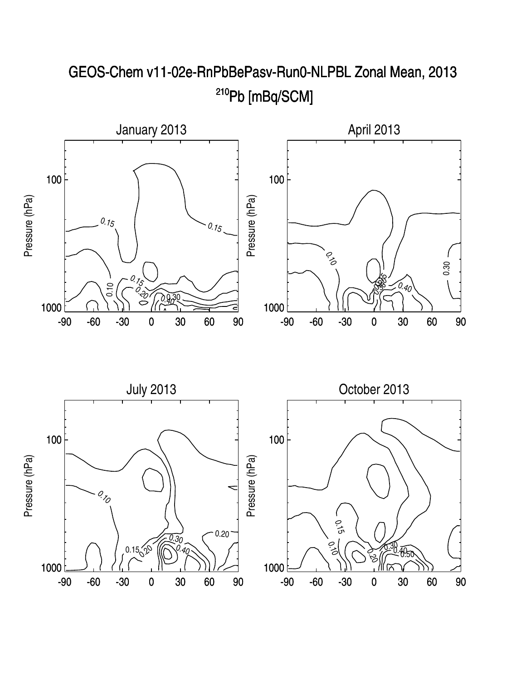

GEOS-Chem v11-02e-RnPbBePasv-Run0-NLPBL Zonal Mean, 2013 <sup>210</sup>Pb [mBq/SCM]